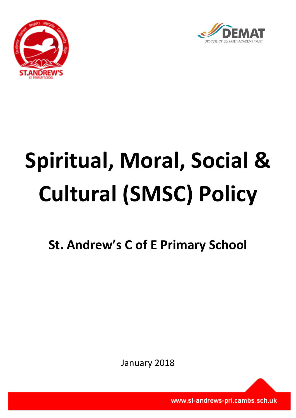



# **Spiritual, Moral, Social & Cultural (SMSC) Policy**

**St. Andrew's C of E Primary School**

January 2018

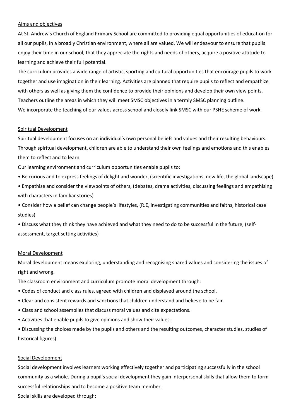#### Aims and objectives

At St. Andrew's Church of England Primary School are committed to providing equal opportunities of education for all our pupils, in a broadly Christian environment, where all are valued. We will endeavour to ensure that pupils enjoy their time in our school, that they appreciate the rights and needs of others, acquire a positive attitude to learning and achieve their full potential.

The curriculum provides a wide range of artistic, sporting and cultural opportunities that encourage pupils to work together and use imagination in their learning. Activities are planned that require pupils to reflect and empathize with others as well as giving them the confidence to provide their opinions and develop their own view points. Teachers outline the areas in which they will meet SMSC objectives in a termly SMSC planning outline. We incorporate the teaching of our values across school and closely link SMSC with our PSHE scheme of work.

## Spiritual Development

Spiritual development focuses on an individual's own personal beliefs and values and their resulting behaviours. Through spiritual development, children are able to understand their own feelings and emotions and this enables them to reflect and to learn.

Our learning environment and curriculum opportunities enable pupils to:

• Be curious and to express feelings of delight and wonder, (scientific investigations, new life, the global landscape)

• Empathise and consider the viewpoints of others, (debates, drama activities, discussing feelings and empathising with characters in familiar stories)

• Consider how a belief can change people's lifestyles, (R.E, investigating communities and faiths, historical case studies)

• Discuss what they think they have achieved and what they need to do to be successful in the future, (selfassessment, target setting activities)

## Moral Development

Moral development means exploring, understanding and recognising shared values and considering the issues of right and wrong.

The classroom environment and curriculum promote moral development through:

- Codes of conduct and class rules, agreed with children and displayed around the school.
- Clear and consistent rewards and sanctions that children understand and believe to be fair.
- Class and school assemblies that discuss moral values and cite expectations.
- Activities that enable pupils to give opinions and show their values.
- Discussing the choices made by the pupils and others and the resulting outcomes, character studies, studies of historical figures).

#### Social Development

Social development involves learners working effectively together and participating successfully in the school community as a whole. During a pupil's social development they gain interpersonal skills that allow them to form successful relationships and to become a positive team member.

Social skills are developed through: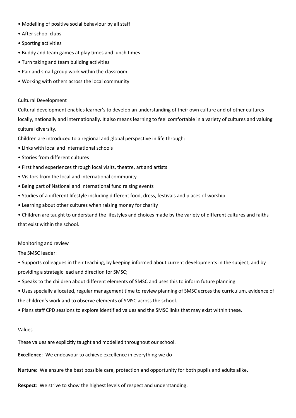- Modelling of positive social behaviour by all staff
- After school clubs
- Sporting activities
- Buddy and team games at play times and lunch times
- Turn taking and team building activities
- Pair and small group work within the classroom
- Working with others across the local community

# Cultural Development

Cultural development enables learner's to develop an understanding of their own culture and of other cultures locally, nationally and internationally. It also means learning to feel comfortable in a variety of cultures and valuing cultural diversity.

Children are introduced to a regional and global perspective in life through:

- Links with local and international schools
- Stories from different cultures
- First hand experiences through local visits, theatre, art and artists
- Visitors from the local and international community
- Being part of National and International fund raising events
- Studies of a different lifestyle including different food, dress, festivals and places of worship.
- Learning about other cultures when raising money for charity

• Children are taught to understand the lifestyles and choices made by the variety of different cultures and faiths that exist within the school.

# Monitoring and review

The SMSC leader:

- Supports colleagues in their teaching, by keeping informed about current developments in the subject, and by providing a strategic lead and direction for SMSC;
- Speaks to the children about different elements of SMSC and uses this to inform future planning.
- Uses specially allocated, regular management time to review planning of SMSC across the curriculum, evidence of the children's work and to observe elements of SMSC across the school.
- Plans staff CPD sessions to explore identified values and the SMSC links that may exist within these.

# Values

These values are explicitly taught and modelled throughout our school.

**Excellence**: We endeavour to achieve excellence in everything we do

**Nurture**: We ensure the best possible care, protection and opportunity for both pupils and adults alike.

**Respect**: We strive to show the highest levels of respect and understanding.